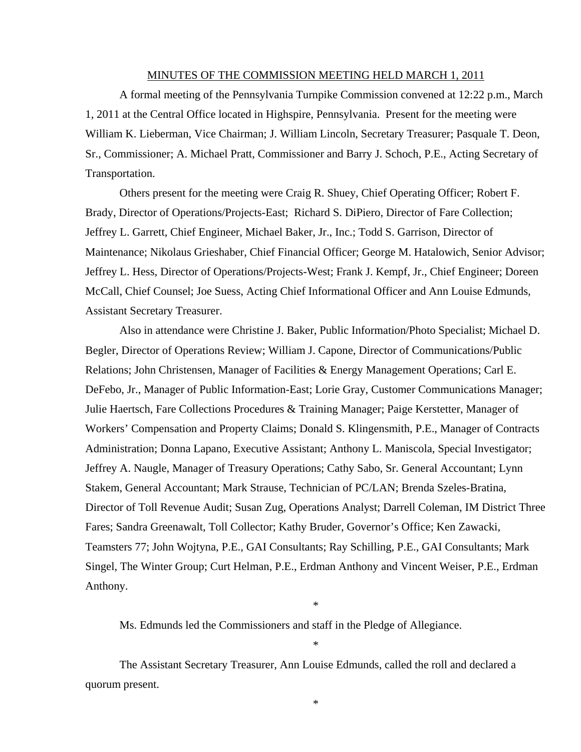#### MINUTES OF THE COMMISSION MEETING HELD MARCH 1, 2011

 A formal meeting of the Pennsylvania Turnpike Commission convened at 12:22 p.m., March 1, 2011 at the Central Office located in Highspire, Pennsylvania. Present for the meeting were William K. Lieberman, Vice Chairman; J. William Lincoln, Secretary Treasurer; Pasquale T. Deon, Sr., Commissioner; A. Michael Pratt, Commissioner and Barry J. Schoch, P.E., Acting Secretary of Transportation.

 Others present for the meeting were Craig R. Shuey, Chief Operating Officer; Robert F. Brady, Director of Operations/Projects-East; Richard S. DiPiero, Director of Fare Collection; Jeffrey L. Garrett, Chief Engineer, Michael Baker, Jr., Inc.; Todd S. Garrison, Director of Maintenance; Nikolaus Grieshaber, Chief Financial Officer; George M. Hatalowich, Senior Advisor; Jeffrey L. Hess, Director of Operations/Projects-West; Frank J. Kempf, Jr., Chief Engineer; Doreen McCall, Chief Counsel; Joe Suess, Acting Chief Informational Officer and Ann Louise Edmunds, Assistant Secretary Treasurer.

 Also in attendance were Christine J. Baker, Public Information/Photo Specialist; Michael D. Begler, Director of Operations Review; William J. Capone, Director of Communications/Public Relations; John Christensen, Manager of Facilities & Energy Management Operations; Carl E. DeFebo, Jr., Manager of Public Information-East; Lorie Gray, Customer Communications Manager; Julie Haertsch, Fare Collections Procedures & Training Manager; Paige Kerstetter, Manager of Workers' Compensation and Property Claims; Donald S. Klingensmith, P.E., Manager of Contracts Administration; Donna Lapano, Executive Assistant; Anthony L. Maniscola, Special Investigator; Jeffrey A. Naugle, Manager of Treasury Operations; Cathy Sabo, Sr. General Accountant; Lynn Stakem, General Accountant; Mark Strause, Technician of PC/LAN; Brenda Szeles-Bratina, Director of Toll Revenue Audit; Susan Zug, Operations Analyst; Darrell Coleman, IM District Three Fares; Sandra Greenawalt, Toll Collector; Kathy Bruder, Governor's Office; Ken Zawacki, Teamsters 77; John Wojtyna, P.E., GAI Consultants; Ray Schilling, P.E., GAI Consultants; Mark Singel, The Winter Group; Curt Helman, P.E., Erdman Anthony and Vincent Weiser, P.E., Erdman Anthony.

Ms. Edmunds led the Commissioners and staff in the Pledge of Allegiance.

The Assistant Secretary Treasurer, Ann Louise Edmunds, called the roll and declared a quorum present.

\*

\*

\*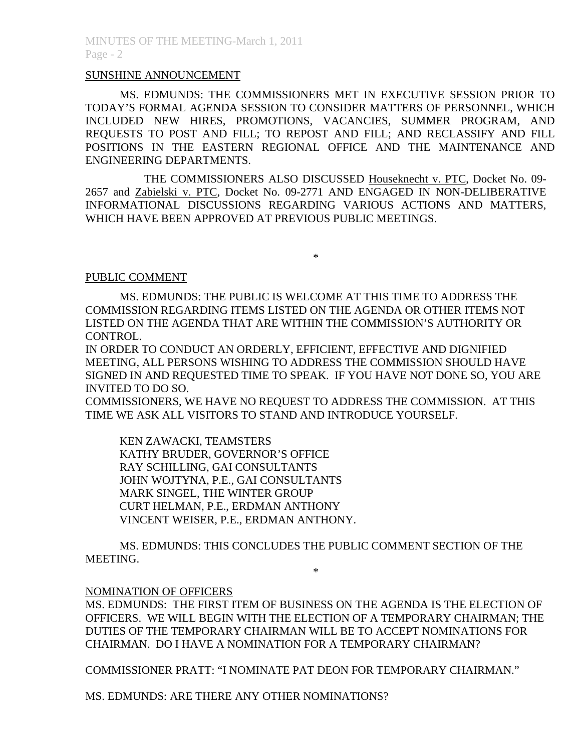### SUNSHINE ANNOUNCEMENT

MS. EDMUNDS: THE COMMISSIONERS MET IN EXECUTIVE SESSION PRIOR TO TODAY'S FORMAL AGENDA SESSION TO CONSIDER MATTERS OF PERSONNEL, WHICH INCLUDED NEW HIRES, PROMOTIONS, VACANCIES, SUMMER PROGRAM, AND REQUESTS TO POST AND FILL; TO REPOST AND FILL; AND RECLASSIFY AND FILL POSITIONS IN THE EASTERN REGIONAL OFFICE AND THE MAINTENANCE AND ENGINEERING DEPARTMENTS.

 THE COMMISSIONERS ALSO DISCUSSED Houseknecht v. PTC, Docket No. 09- 2657 and Zabielski v. PTC, Docket No. 09-2771 AND ENGAGED IN NON-DELIBERATIVE INFORMATIONAL DISCUSSIONS REGARDING VARIOUS ACTIONS AND MATTERS, WHICH HAVE BEEN APPROVED AT PREVIOUS PUBLIC MEETINGS.

\*

#### PUBLIC COMMENT

MS. EDMUNDS: THE PUBLIC IS WELCOME AT THIS TIME TO ADDRESS THE COMMISSION REGARDING ITEMS LISTED ON THE AGENDA OR OTHER ITEMS NOT LISTED ON THE AGENDA THAT ARE WITHIN THE COMMISSION'S AUTHORITY OR CONTROL.

IN ORDER TO CONDUCT AN ORDERLY, EFFICIENT, EFFECTIVE AND DIGNIFIED MEETING, ALL PERSONS WISHING TO ADDRESS THE COMMISSION SHOULD HAVE SIGNED IN AND REQUESTED TIME TO SPEAK. IF YOU HAVE NOT DONE SO, YOU ARE INVITED TO DO SO.

COMMISSIONERS, WE HAVE NO REQUEST TO ADDRESS THE COMMISSION. AT THIS TIME WE ASK ALL VISITORS TO STAND AND INTRODUCE YOURSELF.

 KEN ZAWACKI, TEAMSTERS KATHY BRUDER, GOVERNOR'S OFFICE RAY SCHILLING, GAI CONSULTANTS JOHN WOJTYNA, P.E., GAI CONSULTANTS MARK SINGEL, THE WINTER GROUP CURT HELMAN, P.E., ERDMAN ANTHONY VINCENT WEISER, P.E., ERDMAN ANTHONY.

MS. EDMUNDS: THIS CONCLUDES THE PUBLIC COMMENT SECTION OF THE MEETING.

\*

### NOMINATION OF OFFICERS

MS. EDMUNDS: THE FIRST ITEM OF BUSINESS ON THE AGENDA IS THE ELECTION OF OFFICERS. WE WILL BEGIN WITH THE ELECTION OF A TEMPORARY CHAIRMAN; THE DUTIES OF THE TEMPORARY CHAIRMAN WILL BE TO ACCEPT NOMINATIONS FOR CHAIRMAN. DO I HAVE A NOMINATION FOR A TEMPORARY CHAIRMAN?

COMMISSIONER PRATT: "I NOMINATE PAT DEON FOR TEMPORARY CHAIRMAN."

MS. EDMUNDS: ARE THERE ANY OTHER NOMINATIONS?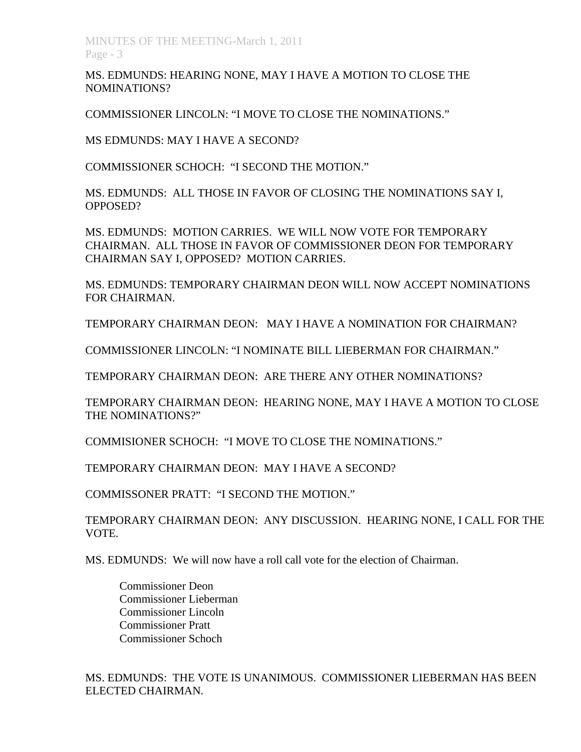MINUTES OF THE MEETING-March 1, 2011 Page - 3

MS. EDMUNDS: HEARING NONE, MAY I HAVE A MOTION TO CLOSE THE NOMINATIONS?

COMMISSIONER LINCOLN: "I MOVE TO CLOSE THE NOMINATIONS."

MS EDMUNDS: MAY I HAVE A SECOND?

COMMISSIONER SCHOCH: "I SECOND THE MOTION."

MS. EDMUNDS: ALL THOSE IN FAVOR OF CLOSING THE NOMINATIONS SAY I, OPPOSED?

MS. EDMUNDS: MOTION CARRIES. WE WILL NOW VOTE FOR TEMPORARY CHAIRMAN. ALL THOSE IN FAVOR OF COMMISSIONER DEON FOR TEMPORARY CHAIRMAN SAY I, OPPOSED? MOTION CARRIES.

MS. EDMUNDS: TEMPORARY CHAIRMAN DEON WILL NOW ACCEPT NOMINATIONS FOR CHAIRMAN.

TEMPORARY CHAIRMAN DEON: MAY I HAVE A NOMINATION FOR CHAIRMAN?

COMMISSIONER LINCOLN: "I NOMINATE BILL LIEBERMAN FOR CHAIRMAN."

TEMPORARY CHAIRMAN DEON: ARE THERE ANY OTHER NOMINATIONS?

TEMPORARY CHAIRMAN DEON: HEARING NONE, MAY I HAVE A MOTION TO CLOSE THE NOMINATIONS?"

COMMISIONER SCHOCH: "I MOVE TO CLOSE THE NOMINATIONS."

TEMPORARY CHAIRMAN DEON: MAY I HAVE A SECOND?

COMMISSONER PRATT: "I SECOND THE MOTION."

TEMPORARY CHAIRMAN DEON: ANY DISCUSSION. HEARING NONE, I CALL FOR THE VOTE.

MS. EDMUNDS: We will now have a roll call vote for the election of Chairman.

Commissioner Deon Commissioner Lieberman Commissioner Lincoln Commissioner Pratt Commissioner Schoch

MS. EDMUNDS: THE VOTE IS UNANIMOUS. COMMISSIONER LIEBERMAN HAS BEEN ELECTED CHAIRMAN.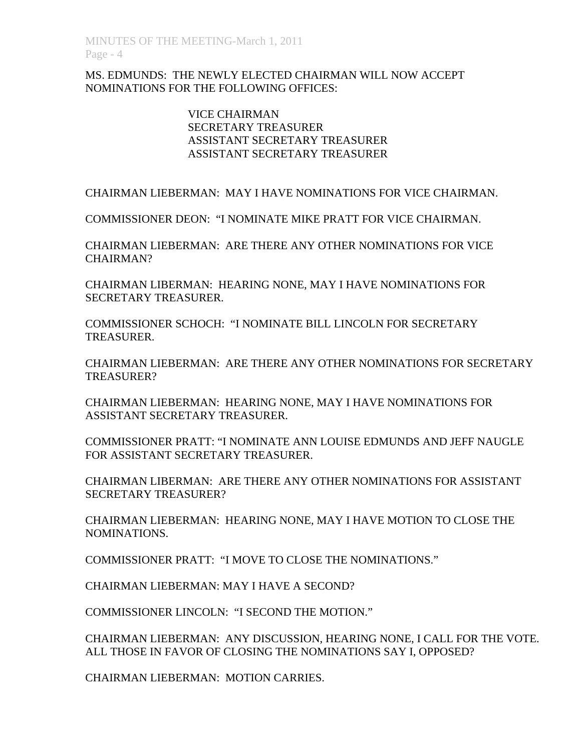# MS. EDMUNDS: THE NEWLY ELECTED CHAIRMAN WILL NOW ACCEPT NOMINATIONS FOR THE FOLLOWING OFFICES:

# VICE CHAIRMAN SECRETARY TREASURER ASSISTANT SECRETARY TREASURER ASSISTANT SECRETARY TREASURER

CHAIRMAN LIEBERMAN: MAY I HAVE NOMINATIONS FOR VICE CHAIRMAN.

COMMISSIONER DEON: "I NOMINATE MIKE PRATT FOR VICE CHAIRMAN.

CHAIRMAN LIEBERMAN: ARE THERE ANY OTHER NOMINATIONS FOR VICE CHAIRMAN?

CHAIRMAN LIBERMAN: HEARING NONE, MAY I HAVE NOMINATIONS FOR SECRETARY TREASURER.

COMMISSIONER SCHOCH: "I NOMINATE BILL LINCOLN FOR SECRETARY TREASURER.

CHAIRMAN LIEBERMAN: ARE THERE ANY OTHER NOMINATIONS FOR SECRETARY TREASURER?

CHAIRMAN LIEBERMAN: HEARING NONE, MAY I HAVE NOMINATIONS FOR ASSISTANT SECRETARY TREASURER.

COMMISSIONER PRATT: "I NOMINATE ANN LOUISE EDMUNDS AND JEFF NAUGLE FOR ASSISTANT SECRETARY TREASURER.

CHAIRMAN LIBERMAN: ARE THERE ANY OTHER NOMINATIONS FOR ASSISTANT SECRETARY TREASURER?

CHAIRMAN LIEBERMAN: HEARING NONE, MAY I HAVE MOTION TO CLOSE THE NOMINATIONS.

COMMISSIONER PRATT: "I MOVE TO CLOSE THE NOMINATIONS."

CHAIRMAN LIEBERMAN: MAY I HAVE A SECOND?

COMMISSIONER LINCOLN: "I SECOND THE MOTION."

CHAIRMAN LIEBERMAN: ANY DISCUSSION, HEARING NONE, I CALL FOR THE VOTE. ALL THOSE IN FAVOR OF CLOSING THE NOMINATIONS SAY I, OPPOSED?

CHAIRMAN LIEBERMAN: MOTION CARRIES.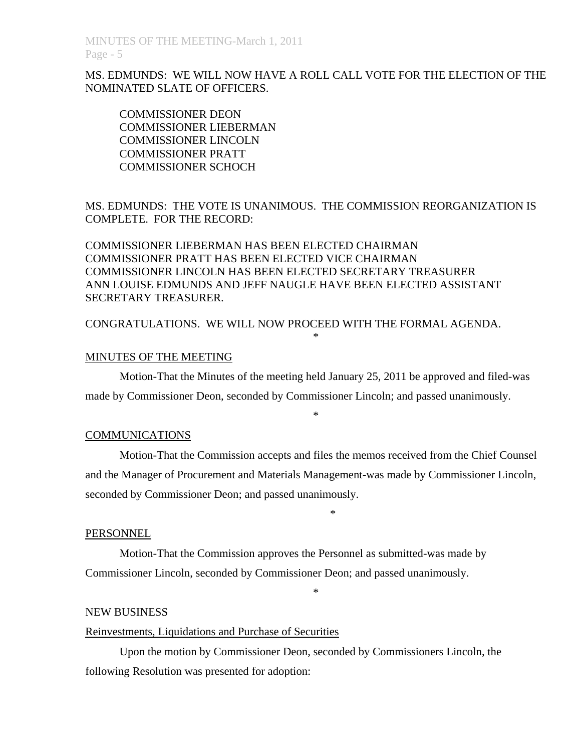MS. EDMUNDS: WE WILL NOW HAVE A ROLL CALL VOTE FOR THE ELECTION OF THE NOMINATED SLATE OF OFFICERS.

COMMISSIONER DEON COMMISSIONER LIEBERMAN COMMISSIONER LINCOLN COMMISSIONER PRATT COMMISSIONER SCHOCH

MS. EDMUNDS: THE VOTE IS UNANIMOUS. THE COMMISSION REORGANIZATION IS COMPLETE. FOR THE RECORD:

COMMISSIONER LIEBERMAN HAS BEEN ELECTED CHAIRMAN COMMISSIONER PRATT HAS BEEN ELECTED VICE CHAIRMAN COMMISSIONER LINCOLN HAS BEEN ELECTED SECRETARY TREASURER ANN LOUISE EDMUNDS AND JEFF NAUGLE HAVE BEEN ELECTED ASSISTANT SECRETARY TREASURER.

CONGRATULATIONS. WE WILL NOW PROCEED WITH THE FORMAL AGENDA.

#### MINUTES OF THE MEETING

 Motion-That the Minutes of the meeting held January 25, 2011 be approved and filed-was made by Commissioner Deon, seconded by Commissioner Lincoln; and passed unanimously.

\*

\*

### COMMUNICATIONS

Motion-That the Commission accepts and files the memos received from the Chief Counsel and the Manager of Procurement and Materials Management-was made by Commissioner Lincoln, seconded by Commissioner Deon; and passed unanimously.

\*

#### PERSONNEL

 Motion-That the Commission approves the Personnel as submitted-was made by Commissioner Lincoln, seconded by Commissioner Deon; and passed unanimously.

\*

#### NEW BUSINESS

#### Reinvestments, Liquidations and Purchase of Securities

 Upon the motion by Commissioner Deon, seconded by Commissioners Lincoln, the following Resolution was presented for adoption: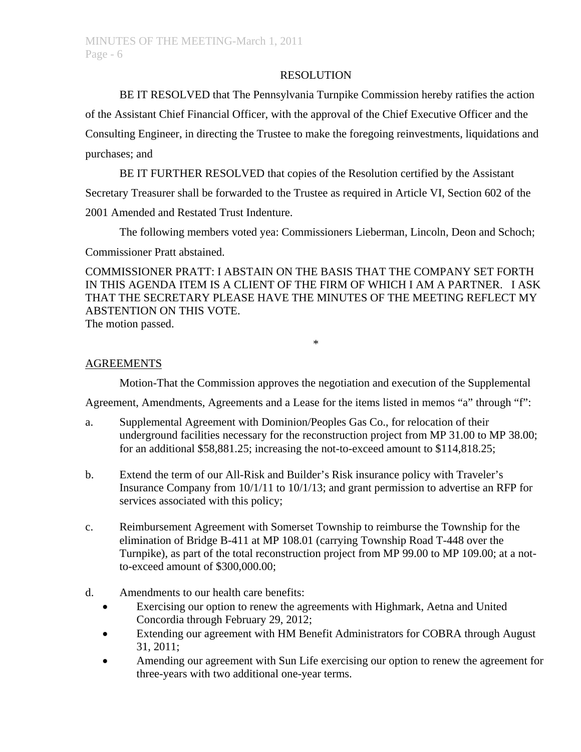#### RESOLUTION

BE IT RESOLVED that The Pennsylvania Turnpike Commission hereby ratifies the action

of the Assistant Chief Financial Officer, with the approval of the Chief Executive Officer and the Consulting Engineer, in directing the Trustee to make the foregoing reinvestments, liquidations and purchases; and

BE IT FURTHER RESOLVED that copies of the Resolution certified by the Assistant

Secretary Treasurer shall be forwarded to the Trustee as required in Article VI, Section 602 of the

2001 Amended and Restated Trust Indenture.

The following members voted yea: Commissioners Lieberman, Lincoln, Deon and Schoch;

Commissioner Pratt abstained.

COMMISSIONER PRATT: I ABSTAIN ON THE BASIS THAT THE COMPANY SET FORTH IN THIS AGENDA ITEM IS A CLIENT OF THE FIRM OF WHICH I AM A PARTNER. I ASK THAT THE SECRETARY PLEASE HAVE THE MINUTES OF THE MEETING REFLECT MY ABSTENTION ON THIS VOTE.

\*

The motion passed.

### AGREEMENTS

Motion-That the Commission approves the negotiation and execution of the Supplemental

Agreement, Amendments, Agreements and a Lease for the items listed in memos "a" through "f":

- a. Supplemental Agreement with Dominion/Peoples Gas Co., for relocation of their underground facilities necessary for the reconstruction project from MP 31.00 to MP 38.00; for an additional \$58,881.25; increasing the not-to-exceed amount to \$114,818.25;
- b. Extend the term of our All-Risk and Builder's Risk insurance policy with Traveler's Insurance Company from 10/1/11 to 10/1/13; and grant permission to advertise an RFP for services associated with this policy;
- c. Reimbursement Agreement with Somerset Township to reimburse the Township for the elimination of Bridge B-411 at MP 108.01 (carrying Township Road T-448 over the Turnpike), as part of the total reconstruction project from MP 99.00 to MP 109.00; at a notto-exceed amount of \$300,000.00;
- d. Amendments to our health care benefits:
	- Exercising our option to renew the agreements with Highmark, Aetna and United Concordia through February 29, 2012;
	- Extending our agreement with HM Benefit Administrators for COBRA through August 31, 2011;
	- Amending our agreement with Sun Life exercising our option to renew the agreement for three-years with two additional one-year terms.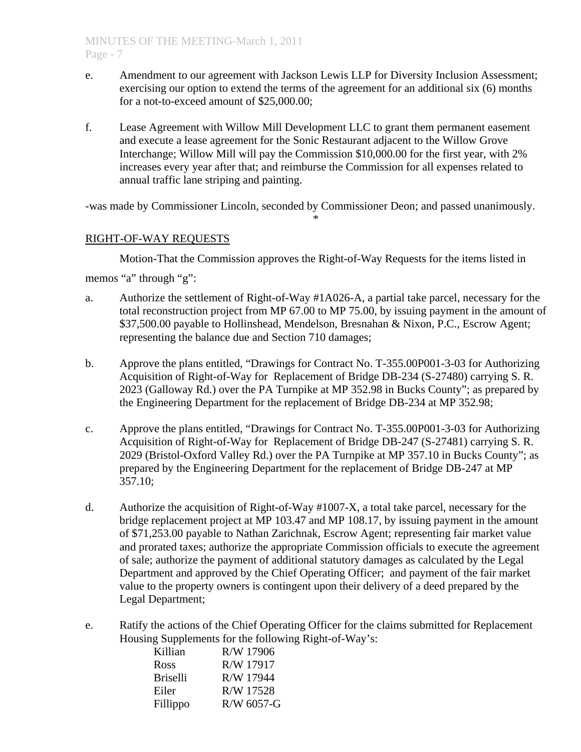- e. Amendment to our agreement with Jackson Lewis LLP for Diversity Inclusion Assessment; exercising our option to extend the terms of the agreement for an additional six (6) months for a not-to-exceed amount of \$25,000.00;
- f. Lease Agreement with Willow Mill Development LLC to grant them permanent easement and execute a lease agreement for the Sonic Restaurant adjacent to the Willow Grove Interchange; Willow Mill will pay the Commission \$10,000.00 for the first year, with 2% increases every year after that; and reimburse the Commission for all expenses related to annual traffic lane striping and painting.

-was made by Commissioner Lincoln, seconded by Commissioner Deon; and passed unanimously.

\*

# RIGHT-OF-WAY REQUESTS

 Motion-That the Commission approves the Right-of-Way Requests for the items listed in memos "a" through "g":

- a. Authorize the settlement of Right-of-Way #1A026-A, a partial take parcel, necessary for the total reconstruction project from MP 67.00 to MP 75.00, by issuing payment in the amount of \$37,500.00 payable to Hollinshead, Mendelson, Bresnahan & Nixon, P.C., Escrow Agent; representing the balance due and Section 710 damages;
- b. Approve the plans entitled, "Drawings for Contract No. T-355.00P001-3-03 for Authorizing Acquisition of Right-of-Way for Replacement of Bridge DB-234 (S-27480) carrying S. R. 2023 (Galloway Rd.) over the PA Turnpike at MP 352.98 in Bucks County"; as prepared by the Engineering Department for the replacement of Bridge DB-234 at MP 352.98;
- c. Approve the plans entitled, "Drawings for Contract No. T-355.00P001-3-03 for Authorizing Acquisition of Right-of-Way for Replacement of Bridge DB-247 (S-27481) carrying S. R. 2029 (Bristol-Oxford Valley Rd.) over the PA Turnpike at MP 357.10 in Bucks County"; as prepared by the Engineering Department for the replacement of Bridge DB-247 at MP 357.10;
- d. Authorize the acquisition of Right-of-Way #1007-X, a total take parcel, necessary for the bridge replacement project at MP 103.47 and MP 108.17, by issuing payment in the amount of \$71,253.00 payable to Nathan Zarichnak, Escrow Agent; representing fair market value and prorated taxes; authorize the appropriate Commission officials to execute the agreement of sale; authorize the payment of additional statutory damages as calculated by the Legal Department and approved by the Chief Operating Officer; and payment of the fair market value to the property owners is contingent upon their delivery of a deed prepared by the Legal Department;
- e. Ratify the actions of the Chief Operating Officer for the claims submitted for Replacement Housing Supplements for the following Right-of-Way's:

| Killian         | R/W 17906    |
|-----------------|--------------|
| Ross            | R/W 17917    |
| <b>Briselli</b> | R/W 17944    |
| Eiler           | R/W 17528    |
| Fillippo        | $R/W$ 6057-G |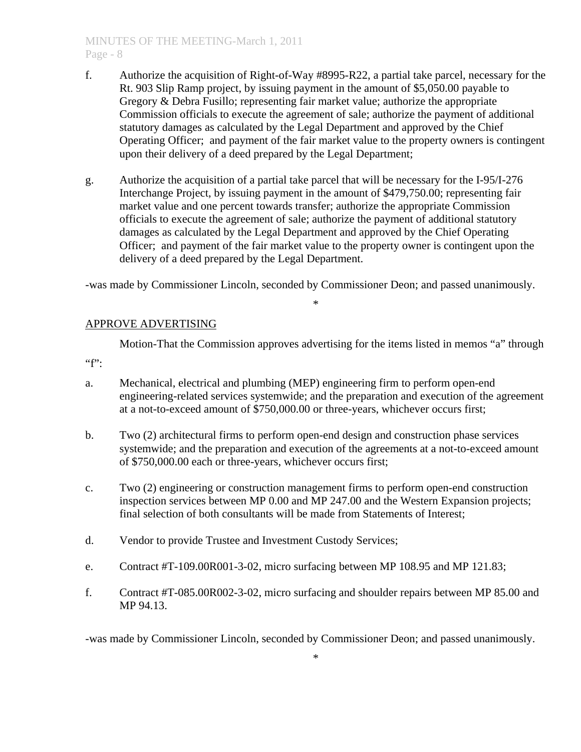# MINUTES OF THE MEETING-March 1, 2011 Page - 8

- f. Authorize the acquisition of Right-of-Way #8995-R22, a partial take parcel, necessary for the Rt. 903 Slip Ramp project, by issuing payment in the amount of \$5,050.00 payable to Gregory & Debra Fusillo; representing fair market value; authorize the appropriate Commission officials to execute the agreement of sale; authorize the payment of additional statutory damages as calculated by the Legal Department and approved by the Chief Operating Officer; and payment of the fair market value to the property owners is contingent upon their delivery of a deed prepared by the Legal Department;
- g. Authorize the acquisition of a partial take parcel that will be necessary for the I-95/I-276 Interchange Project, by issuing payment in the amount of \$479,750.00; representing fair market value and one percent towards transfer; authorize the appropriate Commission officials to execute the agreement of sale; authorize the payment of additional statutory damages as calculated by the Legal Department and approved by the Chief Operating Officer; and payment of the fair market value to the property owner is contingent upon the delivery of a deed prepared by the Legal Department.

-was made by Commissioner Lincoln, seconded by Commissioner Deon; and passed unanimously.

\*

# APPROVE ADVERTISING

Motion-That the Commission approves advertising for the items listed in memos "a" through

 $"f"$ :

- a. Mechanical, electrical and plumbing (MEP) engineering firm to perform open-end engineering-related services systemwide; and the preparation and execution of the agreement at a not-to-exceed amount of \$750,000.00 or three-years, whichever occurs first;
- b. Two (2) architectural firms to perform open-end design and construction phase services systemwide; and the preparation and execution of the agreements at a not-to-exceed amount of \$750,000.00 each or three-years, whichever occurs first;
- c. Two (2) engineering or construction management firms to perform open-end construction inspection services between MP 0.00 and MP 247.00 and the Western Expansion projects; final selection of both consultants will be made from Statements of Interest;
- d. Vendor to provide Trustee and Investment Custody Services;
- e. Contract #T-109.00R001-3-02, micro surfacing between MP 108.95 and MP 121.83;
- f. Contract #T-085.00R002-3-02, micro surfacing and shoulder repairs between MP 85.00 and MP 94.13.

-was made by Commissioner Lincoln, seconded by Commissioner Deon; and passed unanimously.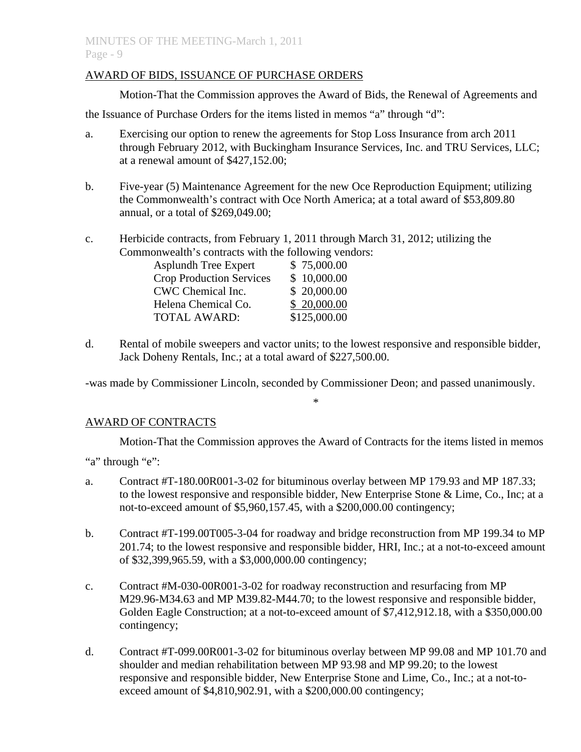# AWARD OF BIDS, ISSUANCE OF PURCHASE ORDERS

Motion-That the Commission approves the Award of Bids, the Renewal of Agreements and

the Issuance of Purchase Orders for the items listed in memos "a" through "d":

- a. Exercising our option to renew the agreements for Stop Loss Insurance from arch 2011 through February 2012, with Buckingham Insurance Services, Inc. and TRU Services, LLC; at a renewal amount of \$427,152.00;
- b. Five-year (5) Maintenance Agreement for the new Oce Reproduction Equipment; utilizing the Commonwealth's contract with Oce North America; at a total award of \$53,809.80 annual, or a total of \$269,049.00;
- c. Herbicide contracts, from February 1, 2011 through March 31, 2012; utilizing the Commonwealth's contracts with the following vendors:

| Asplundh Tree Expert            | \$75,000.00  |
|---------------------------------|--------------|
| <b>Crop Production Services</b> | \$10,000.00  |
| CWC Chemical Inc.               | \$20,000.00  |
| Helena Chemical Co.             | \$20,000.00  |
| <b>TOTAL AWARD:</b>             | \$125,000.00 |

d. Rental of mobile sweepers and vactor units; to the lowest responsive and responsible bidder, Jack Doheny Rentals, Inc.; at a total award of \$227,500.00.

-was made by Commissioner Lincoln, seconded by Commissioner Deon; and passed unanimously.

\*

# AWARD OF CONTRACTS

Motion-That the Commission approves the Award of Contracts for the items listed in memos

"a" through "e":

- a. Contract #T-180.00R001-3-02 for bituminous overlay between MP 179.93 and MP 187.33; to the lowest responsive and responsible bidder, New Enterprise Stone & Lime, Co., Inc; at a not-to-exceed amount of \$5,960,157.45, with a \$200,000.00 contingency;
- b. Contract #T-199.00T005-3-04 for roadway and bridge reconstruction from MP 199.34 to MP 201.74; to the lowest responsive and responsible bidder, HRI, Inc.; at a not-to-exceed amount of \$32,399,965.59, with a \$3,000,000.00 contingency;
- c. Contract #M-030-00R001-3-02 for roadway reconstruction and resurfacing from MP M29.96-M34.63 and MP M39.82-M44.70; to the lowest responsive and responsible bidder, Golden Eagle Construction; at a not-to-exceed amount of \$7,412,912.18, with a \$350,000.00 contingency;
- d. Contract #T-099.00R001-3-02 for bituminous overlay between MP 99.08 and MP 101.70 and shoulder and median rehabilitation between MP 93.98 and MP 99.20; to the lowest responsive and responsible bidder, New Enterprise Stone and Lime, Co., Inc.; at a not-toexceed amount of \$4,810,902.91, with a \$200,000.00 contingency;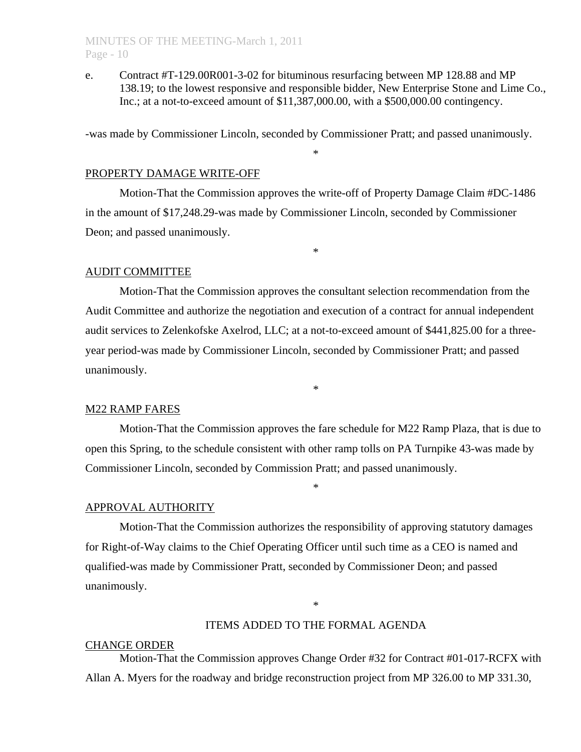e. Contract #T-129.00R001-3-02 for bituminous resurfacing between MP 128.88 and MP 138.19; to the lowest responsive and responsible bidder, New Enterprise Stone and Lime Co., Inc.; at a not-to-exceed amount of \$11,387,000.00, with a \$500,000.00 contingency.

-was made by Commissioner Lincoln, seconded by Commissioner Pratt; and passed unanimously.

\*

### PROPERTY DAMAGE WRITE-OFF

 Motion-That the Commission approves the write-off of Property Damage Claim #DC-1486 in the amount of \$17,248.29-was made by Commissioner Lincoln, seconded by Commissioner Deon; and passed unanimously.

\*

#### AUDIT COMMITTEE

 Motion-That the Commission approves the consultant selection recommendation from the Audit Committee and authorize the negotiation and execution of a contract for annual independent audit services to Zelenkofske Axelrod, LLC; at a not-to-exceed amount of \$441,825.00 for a threeyear period-was made by Commissioner Lincoln, seconded by Commissioner Pratt; and passed unanimously.

\*

#### M22 RAMP FARES

 Motion-That the Commission approves the fare schedule for M22 Ramp Plaza, that is due to open this Spring, to the schedule consistent with other ramp tolls on PA Turnpike 43-was made by Commissioner Lincoln, seconded by Commission Pratt; and passed unanimously.

\*

#### APPROVAL AUTHORITY

 Motion-That the Commission authorizes the responsibility of approving statutory damages for Right-of-Way claims to the Chief Operating Officer until such time as a CEO is named and qualified-was made by Commissioner Pratt, seconded by Commissioner Deon; and passed unanimously.

\*

#### ITEMS ADDED TO THE FORMAL AGENDA

#### CHANGE ORDER

 Motion-That the Commission approves Change Order #32 for Contract #01-017-RCFX with Allan A. Myers for the roadway and bridge reconstruction project from MP 326.00 to MP 331.30,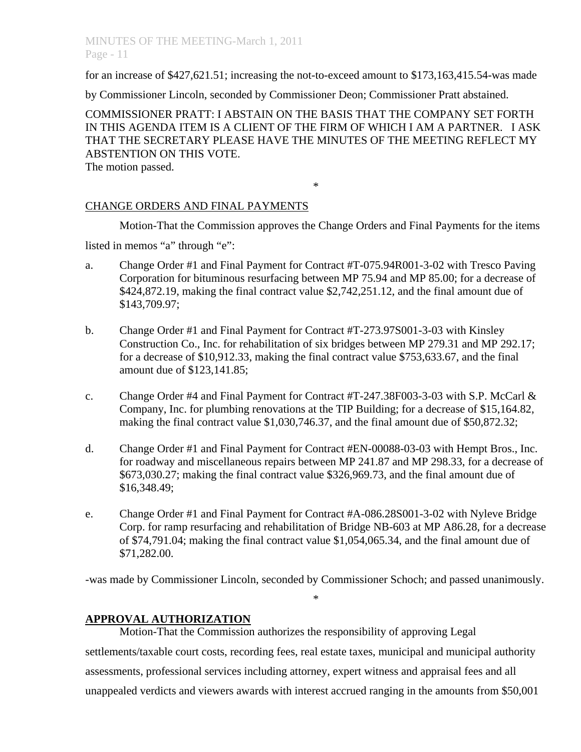# MINUTES OF THE MEETING-March 1, 2011 Page - 11

for an increase of \$427,621.51; increasing the not-to-exceed amount to \$173,163,415.54-was made

by Commissioner Lincoln, seconded by Commissioner Deon; Commissioner Pratt abstained.

COMMISSIONER PRATT: I ABSTAIN ON THE BASIS THAT THE COMPANY SET FORTH IN THIS AGENDA ITEM IS A CLIENT OF THE FIRM OF WHICH I AM A PARTNER. I ASK THAT THE SECRETARY PLEASE HAVE THE MINUTES OF THE MEETING REFLECT MY ABSTENTION ON THIS VOTE.

\*

The motion passed.

# CHANGE ORDERS AND FINAL PAYMENTS

Motion-That the Commission approves the Change Orders and Final Payments for the items

listed in memos "a" through "e":

- a. Change Order #1 and Final Payment for Contract #T-075.94R001-3-02 with Tresco Paving Corporation for bituminous resurfacing between MP 75.94 and MP 85.00; for a decrease of \$424,872.19, making the final contract value \$2,742,251.12, and the final amount due of \$143,709.97;
- b. Change Order #1 and Final Payment for Contract #T-273.97S001-3-03 with Kinsley Construction Co., Inc. for rehabilitation of six bridges between MP 279.31 and MP 292.17; for a decrease of \$10,912.33, making the final contract value \$753,633.67, and the final amount due of \$123,141.85;
- c. Change Order #4 and Final Payment for Contract #T-247.38F003-3-03 with S.P. McCarl & Company, Inc. for plumbing renovations at the TIP Building; for a decrease of \$15,164.82, making the final contract value \$1,030,746.37, and the final amount due of \$50,872.32;
- d. Change Order #1 and Final Payment for Contract #EN-00088-03-03 with Hempt Bros., Inc. for roadway and miscellaneous repairs between MP 241.87 and MP 298.33, for a decrease of \$673,030.27; making the final contract value \$326,969.73, and the final amount due of \$16,348.49;
- e. Change Order #1 and Final Payment for Contract #A-086.28S001-3-02 with Nyleve Bridge Corp. for ramp resurfacing and rehabilitation of Bridge NB-603 at MP A86.28, for a decrease of \$74,791.04; making the final contract value \$1,054,065.34, and the final amount due of \$71,282.00.

-was made by Commissioner Lincoln, seconded by Commissioner Schoch; and passed unanimously.

\*

# **APPROVAL AUTHORIZATION**

Motion-That the Commission authorizes the responsibility of approving Legal settlements/taxable court costs, recording fees, real estate taxes, municipal and municipal authority assessments, professional services including attorney, expert witness and appraisal fees and all unappealed verdicts and viewers awards with interest accrued ranging in the amounts from \$50,001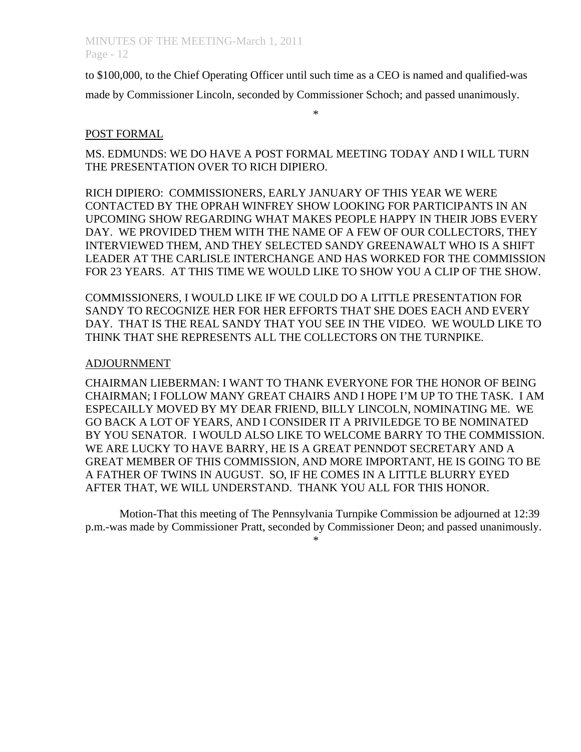to \$100,000, to the Chief Operating Officer until such time as a CEO is named and qualified-was made by Commissioner Lincoln, seconded by Commissioner Schoch; and passed unanimously.

#### \*

# POST FORMAL

MS. EDMUNDS: WE DO HAVE A POST FORMAL MEETING TODAY AND I WILL TURN THE PRESENTATION OVER TO RICH DIPIERO.

RICH DIPIERO: COMMISSIONERS, EARLY JANUARY OF THIS YEAR WE WERE CONTACTED BY THE OPRAH WINFREY SHOW LOOKING FOR PARTICIPANTS IN AN UPCOMING SHOW REGARDING WHAT MAKES PEOPLE HAPPY IN THEIR JOBS EVERY DAY. WE PROVIDED THEM WITH THE NAME OF A FEW OF OUR COLLECTORS, THEY INTERVIEWED THEM, AND THEY SELECTED SANDY GREENAWALT WHO IS A SHIFT LEADER AT THE CARLISLE INTERCHANGE AND HAS WORKED FOR THE COMMISSION FOR 23 YEARS. AT THIS TIME WE WOULD LIKE TO SHOW YOU A CLIP OF THE SHOW.

COMMISSIONERS, I WOULD LIKE IF WE COULD DO A LITTLE PRESENTATION FOR SANDY TO RECOGNIZE HER FOR HER EFFORTS THAT SHE DOES EACH AND EVERY DAY. THAT IS THE REAL SANDY THAT YOU SEE IN THE VIDEO. WE WOULD LIKE TO THINK THAT SHE REPRESENTS ALL THE COLLECTORS ON THE TURNPIKE.

### ADJOURNMENT

CHAIRMAN LIEBERMAN: I WANT TO THANK EVERYONE FOR THE HONOR OF BEING CHAIRMAN; I FOLLOW MANY GREAT CHAIRS AND I HOPE I'M UP TO THE TASK. I AM ESPECAILLY MOVED BY MY DEAR FRIEND, BILLY LINCOLN, NOMINATING ME. WE GO BACK A LOT OF YEARS, AND I CONSIDER IT A PRIVILEDGE TO BE NOMINATED BY YOU SENATOR. I WOULD ALSO LIKE TO WELCOME BARRY TO THE COMMISSION. WE ARE LUCKY TO HAVE BARRY, HE IS A GREAT PENNDOT SECRETARY AND A GREAT MEMBER OF THIS COMMISSION, AND MORE IMPORTANT, HE IS GOING TO BE A FATHER OF TWINS IN AUGUST. SO, IF HE COMES IN A LITTLE BLURRY EYED AFTER THAT, WE WILL UNDERSTAND. THANK YOU ALL FOR THIS HONOR.

 Motion-That this meeting of The Pennsylvania Turnpike Commission be adjourned at 12:39 p.m.-was made by Commissioner Pratt, seconded by Commissioner Deon; and passed unanimously. \*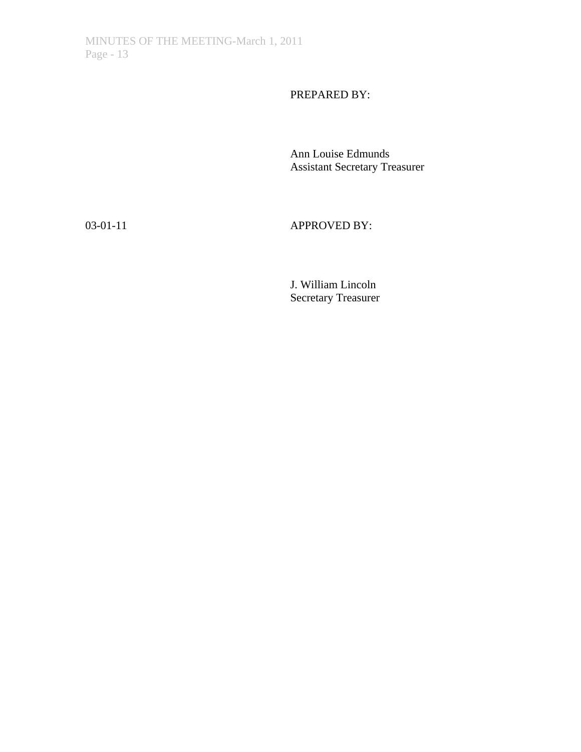PREPARED BY:

 Ann Louise Edmunds Assistant Secretary Treasurer

03-01-11 **APPROVED BY:** 

 J. William Lincoln Secretary Treasurer